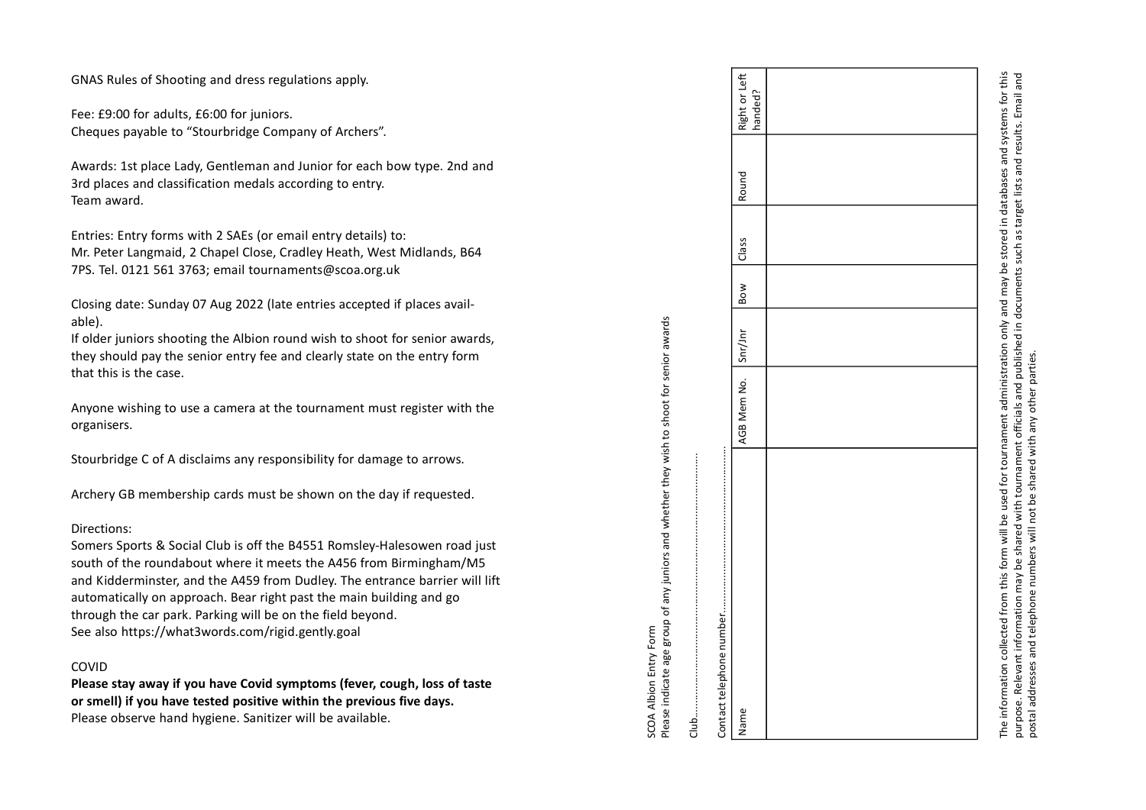GNAS Rules of Shooting and dress regulations apply.

Fee: £9:00 for adults, £6:00 for juniors. Cheques payable to "Stourbridge Company of Archers".

Awards: 1st place Lady, Gentleman and Junior for each bow type. 2nd and 3rd places and classification medals according to entry. Team award.

Entries: Entry forms with 2 SAEs (or email entry details) to: Mr. Peter Langmaid, 2 Chapel Close, Cradley Heath, West Midlands, B64 7PS. Tel. 0121 561 3763; email tournaments@scoa.org.uk

Closing date: Sunday 07 Aug 2022 (late entries accepted if places available).

If older juniors shooting the Albion round wish to shoot for senior awards, they should pay the senior entry fee and clearly state on the entry form that this is the case.

Anyone wishing to use a camera at the tournament must register with the organisers.

Stourbridge C of A disclaims any responsibility for damage to arrows.

Archery GB membership cards must be shown on the day if requested.

## Directions:

Somers Sports & Social Club is off the B4551 Romsley-Halesowen road just south of the roundabout where it meets the A456 from Birmingham/M5 and Kidderminster, and the A459 from Dudley. The entrance barrier will lift automatically on approach. Bear right past the main building and go through the car park. Parking will be on the field beyond. See also https://what3words.com/rigid.gently.goal

## COVID

Please stay away if you have Covid symptoms (fever, cough, loss of taste or smell) if you have tested positive within the previous five days.